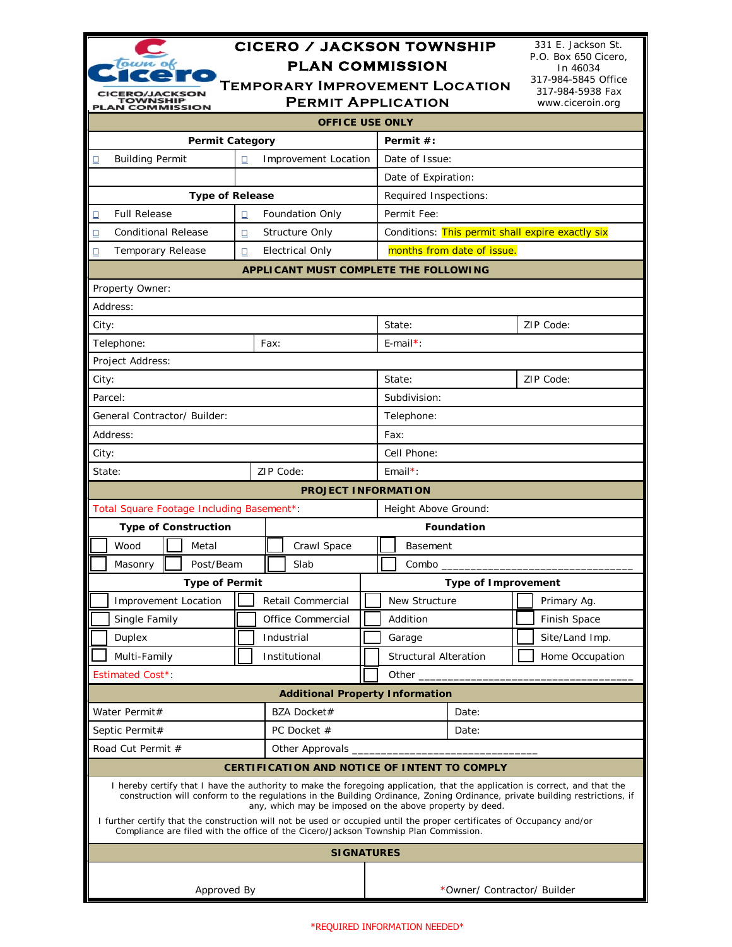| <b>CICERO / JACKSON TOWNSHIP</b>                                                                                                                                                                                                                                                                                       |                                                                    |                            |       |                                                  |                      |                                  |  | 331 E. Jackson St.                                          |  |  |  |
|------------------------------------------------------------------------------------------------------------------------------------------------------------------------------------------------------------------------------------------------------------------------------------------------------------------------|--------------------------------------------------------------------|----------------------------|-------|--------------------------------------------------|----------------------|----------------------------------|--|-------------------------------------------------------------|--|--|--|
| town of<br><b>PLAN COMMISSION</b>                                                                                                                                                                                                                                                                                      |                                                                    |                            |       |                                                  |                      | P.O. Box 650 Cicero,<br>In 46034 |  |                                                             |  |  |  |
| <b>Section</b><br><b>ERO/JACKSON</b><br><b>TOWNSHIP</b><br><b>PLAN COMMISSION</b>                                                                                                                                                                                                                                      | <b>TEMPORARY IMPROVEMENT LOCATION</b><br><b>PERMIT APPLICATION</b> |                            |       |                                                  |                      |                                  |  | 317-984-5845 Office<br>317-984-5938 Fax<br>www.ciceroin.org |  |  |  |
| <b>OFFICE USE ONLY</b>                                                                                                                                                                                                                                                                                                 |                                                                    |                            |       |                                                  |                      |                                  |  |                                                             |  |  |  |
| <b>Permit Category</b><br>Permit #:                                                                                                                                                                                                                                                                                    |                                                                    |                            |       |                                                  |                      |                                  |  |                                                             |  |  |  |
| <b>Building Permit</b><br><b>Improvement Location</b><br>□<br>□                                                                                                                                                                                                                                                        |                                                                    |                            |       |                                                  | Date of Issue:       |                                  |  |                                                             |  |  |  |
|                                                                                                                                                                                                                                                                                                                        |                                                                    |                            |       |                                                  |                      | Date of Expiration:              |  |                                                             |  |  |  |
| <b>Type of Release</b>                                                                                                                                                                                                                                                                                                 |                                                                    |                            |       | Required Inspections:                            |                      |                                  |  |                                                             |  |  |  |
| <b>Full Release</b><br>Foundation Only<br>□<br>□                                                                                                                                                                                                                                                                       |                                                                    |                            |       |                                                  | Permit Fee:          |                                  |  |                                                             |  |  |  |
| <b>Conditional Release</b><br>□                                                                                                                                                                                                                                                                                        | о                                                                  | <b>Structure Only</b>      |       | Conditions: This permit shall expire exactly six |                      |                                  |  |                                                             |  |  |  |
| Temporary Release<br>□                                                                                                                                                                                                                                                                                                 | $\Box$                                                             | <b>Electrical Only</b>     |       | months from date of issue.                       |                      |                                  |  |                                                             |  |  |  |
|                                                                                                                                                                                                                                                                                                                        | <b>APPLICANT MUST COMPLETE THE FOLLOWING</b>                       |                            |       |                                                  |                      |                                  |  |                                                             |  |  |  |
| Property Owner:                                                                                                                                                                                                                                                                                                        |                                                                    |                            |       |                                                  |                      |                                  |  |                                                             |  |  |  |
| Address:                                                                                                                                                                                                                                                                                                               |                                                                    |                            |       |                                                  |                      |                                  |  |                                                             |  |  |  |
| City:                                                                                                                                                                                                                                                                                                                  |                                                                    |                            |       |                                                  |                      | ZIP Code:<br>State:              |  |                                                             |  |  |  |
| Telephone:                                                                                                                                                                                                                                                                                                             | Fax:                                                               |                            |       |                                                  | $E$ -mail*:          |                                  |  |                                                             |  |  |  |
| Project Address:                                                                                                                                                                                                                                                                                                       |                                                                    |                            |       |                                                  |                      |                                  |  |                                                             |  |  |  |
| City:                                                                                                                                                                                                                                                                                                                  |                                                                    |                            |       | State:                                           |                      |                                  |  | ZIP Code:                                                   |  |  |  |
| Parcel:                                                                                                                                                                                                                                                                                                                |                                                                    |                            |       | Subdivision:                                     |                      |                                  |  |                                                             |  |  |  |
| General Contractor/ Builder:                                                                                                                                                                                                                                                                                           |                                                                    |                            |       | Telephone:                                       |                      |                                  |  |                                                             |  |  |  |
| Address:                                                                                                                                                                                                                                                                                                               |                                                                    |                            |       | Fax:                                             |                      |                                  |  |                                                             |  |  |  |
| City:                                                                                                                                                                                                                                                                                                                  |                                                                    |                            |       | Cell Phone:                                      |                      |                                  |  |                                                             |  |  |  |
| State:                                                                                                                                                                                                                                                                                                                 |                                                                    | ZIP Code:                  |       |                                                  | $Email*$ :           |                                  |  |                                                             |  |  |  |
|                                                                                                                                                                                                                                                                                                                        |                                                                    | <b>PROJECT INFORMATION</b> |       |                                                  |                      |                                  |  |                                                             |  |  |  |
| Total Square Footage Including Basement*:                                                                                                                                                                                                                                                                              |                                                                    |                            |       |                                                  | Height Above Ground: |                                  |  |                                                             |  |  |  |
| <b>Type of Construction</b>                                                                                                                                                                                                                                                                                            |                                                                    |                            |       | <b>Foundation</b>                                |                      |                                  |  |                                                             |  |  |  |
| Wood<br>Metal                                                                                                                                                                                                                                                                                                          |                                                                    | Crawl Space                |       |                                                  | Basement             |                                  |  |                                                             |  |  |  |
| Post/Beam<br>Masonry                                                                                                                                                                                                                                                                                                   |                                                                    | Slab                       |       | $Combo$ <sub>----</sub>                          |                      |                                  |  |                                                             |  |  |  |
| <b>Type of Permit</b>                                                                                                                                                                                                                                                                                                  | <b>Type of Improvement</b>                                         |                            |       |                                                  |                      |                                  |  |                                                             |  |  |  |
| Retail Commercial<br><b>Improvement Location</b>                                                                                                                                                                                                                                                                       |                                                                    |                            |       | New Structure<br>Primary Ag.                     |                      |                                  |  |                                                             |  |  |  |
| Single Family                                                                                                                                                                                                                                                                                                          |                                                                    | Office Commercial          |       | Addition                                         |                      |                                  |  | Finish Space                                                |  |  |  |
| Duplex                                                                                                                                                                                                                                                                                                                 |                                                                    | Industrial                 |       | Garage                                           |                      |                                  |  | Site/Land Imp.                                              |  |  |  |
| Multi-Family                                                                                                                                                                                                                                                                                                           |                                                                    | Institutional              |       | <b>Structural Alteration</b>                     |                      |                                  |  | Home Occupation                                             |  |  |  |
| Estimated Cost*                                                                                                                                                                                                                                                                                                        |                                                                    |                            |       | Other _______________                            |                      |                                  |  |                                                             |  |  |  |
| <b>Additional Property Information</b>                                                                                                                                                                                                                                                                                 |                                                                    |                            |       |                                                  |                      |                                  |  |                                                             |  |  |  |
| Water Permit#                                                                                                                                                                                                                                                                                                          |                                                                    | BZA Docket#                |       | Date:                                            |                      |                                  |  |                                                             |  |  |  |
| Septic Permit#                                                                                                                                                                                                                                                                                                         | PC Docket #                                                        |                            | Date: |                                                  |                      |                                  |  |                                                             |  |  |  |
| Road Cut Permit #                                                                                                                                                                                                                                                                                                      |                                                                    |                            |       |                                                  |                      |                                  |  |                                                             |  |  |  |
| <b>CERTIFICATION AND NOTICE OF INTENT TO COMPLY</b>                                                                                                                                                                                                                                                                    |                                                                    |                            |       |                                                  |                      |                                  |  |                                                             |  |  |  |
| I hereby certify that I have the authority to make the foregoing application, that the application is correct, and that the<br>construction will conform to the regulations in the Building Ordinance, Zoning Ordinance, private building restrictions, if<br>any, which may be imposed on the above property by deed. |                                                                    |                            |       |                                                  |                      |                                  |  |                                                             |  |  |  |
| I further certify that the construction will not be used or occupied until the proper certificates of Occupancy and/or<br>Compliance are filed with the office of the Cicero/Jackson Township Plan Commission.                                                                                                         |                                                                    |                            |       |                                                  |                      |                                  |  |                                                             |  |  |  |
| <b>SIGNATURES</b>                                                                                                                                                                                                                                                                                                      |                                                                    |                            |       |                                                  |                      |                                  |  |                                                             |  |  |  |
|                                                                                                                                                                                                                                                                                                                        |                                                                    |                            |       |                                                  |                      |                                  |  |                                                             |  |  |  |
| Approved By                                                                                                                                                                                                                                                                                                            |                                                                    |                            |       | *Owner/ Contractor/ Builder                      |                      |                                  |  |                                                             |  |  |  |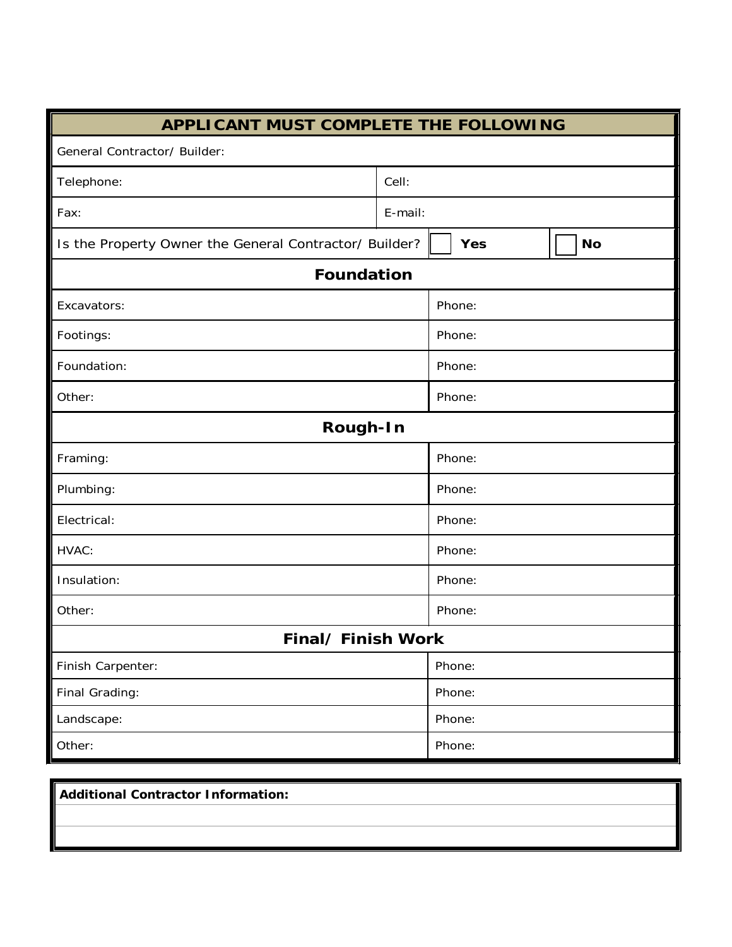| <b>APPLICANT MUST COMPLETE THE FOLLOWING</b>           |         |        |        |  |           |  |  |  |
|--------------------------------------------------------|---------|--------|--------|--|-----------|--|--|--|
| General Contractor/ Builder:                           |         |        |        |  |           |  |  |  |
| Telephone:                                             | Cell:   |        |        |  |           |  |  |  |
| Fax:                                                   | E-mail: |        |        |  |           |  |  |  |
| Is the Property Owner the General Contractor/ Builder? |         |        | Yes    |  | <b>No</b> |  |  |  |
| <b>Foundation</b>                                      |         |        |        |  |           |  |  |  |
| Excavators:                                            | Phone:  |        |        |  |           |  |  |  |
| Footings:                                              |         | Phone: |        |  |           |  |  |  |
| Foundation:                                            |         | Phone: |        |  |           |  |  |  |
| Other:                                                 | Phone:  |        |        |  |           |  |  |  |
| Rough-In                                               |         |        |        |  |           |  |  |  |
| Framing:                                               |         |        | Phone: |  |           |  |  |  |
| Plumbing:                                              |         | Phone: |        |  |           |  |  |  |
| Electrical:                                            | Phone:  |        |        |  |           |  |  |  |
| HVAC:                                                  |         |        | Phone: |  |           |  |  |  |
| Insulation:                                            | Phone:  |        |        |  |           |  |  |  |
| Other:                                                 |         | Phone: |        |  |           |  |  |  |
| Final/ Finish Work                                     |         |        |        |  |           |  |  |  |
| Finish Carpenter:                                      | Phone:  |        |        |  |           |  |  |  |
| Final Grading:                                         | Phone:  |        |        |  |           |  |  |  |
| Landscape:                                             | Phone:  |        |        |  |           |  |  |  |
| Other:                                                 | Phone:  |        |        |  |           |  |  |  |

| <b>Additional Contractor Information:</b> |  |
|-------------------------------------------|--|
|                                           |  |
|                                           |  |
|                                           |  |